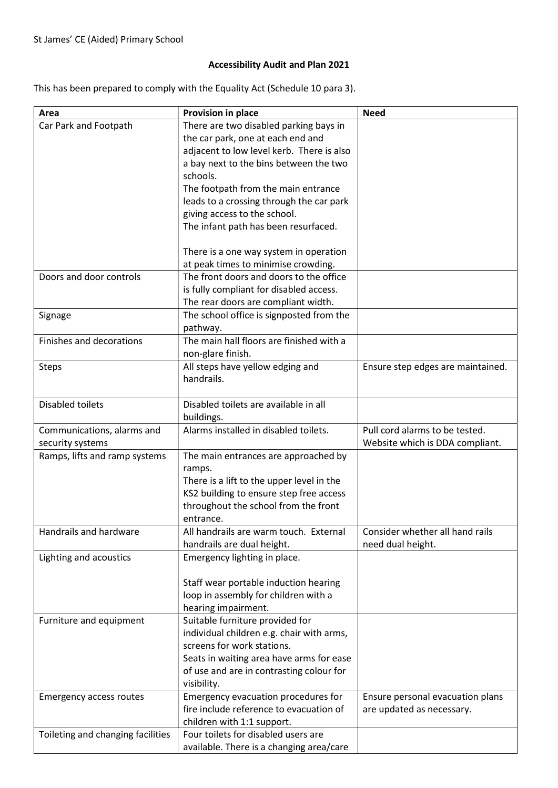## Accessibility Audit and Plan 2021

This has been prepared to comply with the Equality Act (Schedule 10 para 3).

| Area                              | Provision in place                                                              | <b>Need</b>                       |
|-----------------------------------|---------------------------------------------------------------------------------|-----------------------------------|
| Car Park and Footpath             | There are two disabled parking bays in                                          |                                   |
|                                   | the car park, one at each end and                                               |                                   |
|                                   | adjacent to low level kerb. There is also                                       |                                   |
|                                   | a bay next to the bins between the two                                          |                                   |
|                                   | schools.                                                                        |                                   |
|                                   | The footpath from the main entrance                                             |                                   |
|                                   | leads to a crossing through the car park                                        |                                   |
|                                   | giving access to the school.                                                    |                                   |
|                                   | The infant path has been resurfaced.                                            |                                   |
|                                   | There is a one way system in operation                                          |                                   |
|                                   | at peak times to minimise crowding.                                             |                                   |
| Doors and door controls           | The front doors and doors to the office                                         |                                   |
|                                   | is fully compliant for disabled access.                                         |                                   |
|                                   | The rear doors are compliant width.                                             |                                   |
| Signage                           | The school office is signposted from the                                        |                                   |
|                                   | pathway.                                                                        |                                   |
| Finishes and decorations          | The main hall floors are finished with a                                        |                                   |
|                                   | non-glare finish.                                                               |                                   |
| <b>Steps</b>                      | All steps have yellow edging and                                                | Ensure step edges are maintained. |
|                                   | handrails.                                                                      |                                   |
| Disabled toilets                  | Disabled toilets are available in all                                           |                                   |
|                                   | buildings.                                                                      |                                   |
| Communications, alarms and        | Alarms installed in disabled toilets.                                           | Pull cord alarms to be tested.    |
| security systems                  |                                                                                 | Website which is DDA compliant.   |
| Ramps, lifts and ramp systems     | The main entrances are approached by                                            |                                   |
|                                   | ramps.                                                                          |                                   |
|                                   | There is a lift to the upper level in the                                       |                                   |
|                                   | KS2 building to ensure step free access<br>throughout the school from the front |                                   |
|                                   | entrance.                                                                       |                                   |
| Handrails and hardware            | All handrails are warm touch. External                                          | Consider whether all hand rails   |
|                                   | handrails are dual height.                                                      | need dual height.                 |
| Lighting and acoustics            | Emergency lighting in place.                                                    |                                   |
|                                   |                                                                                 |                                   |
|                                   | Staff wear portable induction hearing                                           |                                   |
|                                   | loop in assembly for children with a                                            |                                   |
|                                   | hearing impairment.                                                             |                                   |
| Furniture and equipment           | Suitable furniture provided for                                                 |                                   |
|                                   | individual children e.g. chair with arms,                                       |                                   |
|                                   | screens for work stations.                                                      |                                   |
|                                   | Seats in waiting area have arms for ease                                        |                                   |
|                                   | of use and are in contrasting colour for                                        |                                   |
|                                   | visibility.                                                                     |                                   |
| <b>Emergency access routes</b>    | Emergency evacuation procedures for                                             | Ensure personal evacuation plans  |
|                                   | fire include reference to evacuation of                                         | are updated as necessary.         |
|                                   | children with 1:1 support.                                                      |                                   |
| Toileting and changing facilities | Four toilets for disabled users are                                             |                                   |
|                                   | available. There is a changing area/care                                        |                                   |